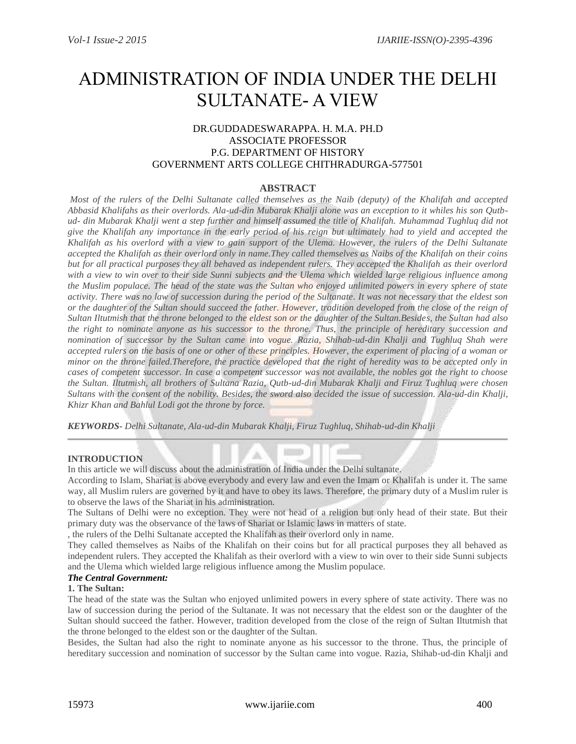# ADMINISTRATION OF INDIA UNDER THE DELHI SULTANATE- A VIEW

# DR.GUDDADESWARAPPA. H. M.A. PH.D ASSOCIATE PROFESSOR P.G. DEPARTMENT OF HISTORY GOVERNMENT ARTS COLLEGE CHITHRADURGA-577501

# **ABSTRACT**

*Most of the rulers of the Delhi Sultanate called themselves as the Naib (deputy) of the Khalifah and accepted Abbasid Khalifahs as their overlords. Ala-ud-din Mubarak Khalji alone was an exception to it whiles his son Qutbud- din Mubarak Khalji went a step further and himself assumed the title of Khalifah. Muhammad Tughluq did not give the Khalifah any importance in the early period of his reign but ultimately had to yield and accepted the Khalifah as his overlord with a view to gain support of the Ulema. However, the rulers of the Delhi Sultanate accepted the Khalifah as their overlord only in name.They called themselves as Naibs of the Khalifah on their coins but for all practical purposes they all behaved as independent rulers. They accepted the Khalifah as their overlord with a view to win over to their side Sunni subjects and the Ulema which wielded large religious influence among the Muslim populace. The head of the state was the Sultan who enjoyed unlimited powers in every sphere of state activity. There was no law of succession during the period of the Sultanate. It was not necessary that the eldest son or the daughter of the Sultan should succeed the father. However, tradition developed from the close of the reign of Sultan Iltutmish that the throne belonged to the eldest son or the daughter of the Sultan.Besides, the Sultan had also the right to nominate anyone as his successor to the throne. Thus, the principle of hereditary succession and nomination of successor by the Sultan came into vogue. Razia, Shihab-ud-din Khalji and Tughluq Shah were accepted rulers on the basis of one or other of these principles. However, the experiment of placing of a woman or minor on the throne failed.Therefore, the practice developed that the right of heredity was to be accepted only in cases of competent successor. In case a competent successor was not available, the nobles got the right to choose the Sultan. Iltutmish, all brothers of Sultana Razia, Qutb-ud-din Mubarak Khalji and Firuz Tughluq were chosen Sultans with the consent of the nobility. Besides, the sword also decided the issue of succession. Ala-ud-din Khalji, Khizr Khan and Bahlul Lodi got the throne by force.*

*KEYWORDS- Delhi Sultanate, Ala-ud-din Mubarak Khalji, Firuz Tughluq, Shihab-ud-din Khalji*

## **INTRODUCTION**

In this article we will discuss about the administration of India under the Delhi sultanate.

According to Islam, Shariat is above everybody and every law and even the Imam or Khalifah is under it. The same way, all Muslim rulers are governed by it and have to obey its laws. Therefore, the primary duty of a Muslim ruler is to observe the laws of the Shariat in his administration.

The Sultans of Delhi were no exception. They were not head of a religion but only head of their state. But their primary duty was the observance of the laws of Shariat or Islamic laws in matters of state.

, the rulers of the Delhi Sultanate accepted the Khalifah as their overlord only in name.

They called themselves as Naibs of the Khalifah on their coins but for all practical purposes they all behaved as independent rulers. They accepted the Khalifah as their overlord with a view to win over to their side Sunni subjects and the Ulema which wielded large religious influence among the Muslim populace.

## *The Central Government:*

## **1. The Sultan:**

The head of the state was the Sultan who enjoyed unlimited powers in every sphere of state activity. There was no law of succession during the period of the Sultanate. It was not necessary that the eldest son or the daughter of the Sultan should succeed the father. However, tradition developed from the close of the reign of Sultan Iltutmish that the throne belonged to the eldest son or the daughter of the Sultan.

Besides, the Sultan had also the right to nominate anyone as his successor to the throne. Thus, the principle of hereditary succession and nomination of successor by the Sultan came into vogue. Razia, Shihab-ud-din Khalji and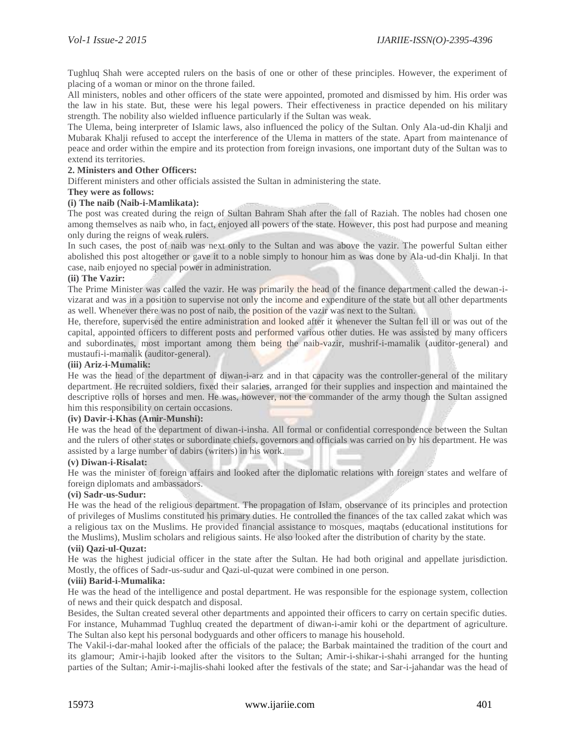Tughluq Shah were accepted rulers on the basis of one or other of these principles. However, the experiment of placing of a woman or minor on the throne failed.

All ministers, nobles and other officers of the state were appointed, promoted and dismissed by him. His order was the law in his state. But, these were his legal powers. Their effectiveness in practice depended on his military strength. The nobility also wielded influence particularly if the Sultan was weak.

The Ulema, being interpreter of Islamic laws, also influenced the policy of the Sultan. Only Ala-ud-din Khalji and Mubarak Khalji refused to accept the interference of the Ulema in matters of the state. Apart from maintenance of peace and order within the empire and its protection from foreign invasions, one important duty of the Sultan was to extend its territories.

# **2. Ministers and Other Officers:**

Different ministers and other officials assisted the Sultan in administering the state.

## **They were as follows:**

## **(i) The naib (Naib-i-Mamlikata):**

The post was created during the reign of Sultan Bahram Shah after the fall of Raziah. The nobles had chosen one among themselves as naib who, in fact, enjoyed all powers of the state. However, this post had purpose and meaning only during the reigns of weak rulers.

In such cases, the post of naib was next only to the Sultan and was above the vazir. The powerful Sultan either abolished this post altogether or gave it to a noble simply to honour him as was done by Ala-ud-din Khalji. In that case, naib enjoyed no special power in administration.

## **(ii) The Vazir:**

The Prime Minister was called the vazir. He was primarily the head of the finance department called the dewan-ivizarat and was in a position to supervise not only the income and expenditure of the state but all other departments as well. Whenever there was no post of naib, the position of the vazir was next to the Sultan.

He, therefore, supervised the entire administration and looked after it whenever the Sultan fell ill or was out of the capital, appointed officers to different posts and performed various other duties. He was assisted by many officers and subordinates, most important among them being the naib-vazir, mushrif-i-mamalik (auditor-general) and mustaufi-i-mamalik (auditor-general).

#### **(iii) Ariz-i-Mumalik:**

He was the head of the department of diwan-i-arz and in that capacity was the controller-general of the military department. He recruited soldiers, fixed their salaries, arranged for their supplies and inspection and maintained the descriptive rolls of horses and men. He was, however, not the commander of the army though the Sultan assigned him this responsibility on certain occasions.

## **(iv) Davir-i-Khas (Amir-Munshi):**

He was the head of the department of diwan-i-insha. All formal or confidential correspondence between the Sultan and the rulers of other states or subordinate chiefs, governors and officials was carried on by his department. He was assisted by a large number of dabirs (writers) in his work.

#### **(v) Diwan-i-Risalat:**

He was the minister of foreign affairs and looked after the diplomatic relations with foreign states and welfare of foreign diplomats and ambassadors.

#### **(vi) Sadr-us-Sudur:**

He was the head of the religious department. The propagation of Islam, observance of its principles and protection of privileges of Muslims constituted his primary duties. He controlled the finances of the tax called zakat which was a religious tax on the Muslims. He provided financial assistance to mosques, maqtabs (educational institutions for the Muslims), Muslim scholars and religious saints. He also looked after the distribution of charity by the state.

#### **(vii) Qazi-ul-Quzat:**

He was the highest judicial officer in the state after the Sultan. He had both original and appellate jurisdiction. Mostly, the offices of Sadr-us-sudur and Qazi-ul-quzat were combined in one person.

## **(viii) Barid-i-Mumalika:**

He was the head of the intelligence and postal department. He was responsible for the espionage system, collection of news and their quick despatch and disposal.

Besides, the Sultan created several other departments and appointed their officers to carry on certain specific duties. For instance, Muhammad Tughluq created the department of diwan-i-amir kohi or the department of agriculture. The Sultan also kept his personal bodyguards and other officers to manage his household.

The Vakil-i-dar-mahal looked after the officials of the palace; the Barbak maintained the tradition of the court and its glamour; Amir-i-hajib looked after the visitors to the Sultan; Amir-i-shikar-i-shahi arranged for the hunting parties of the Sultan; Amir-i-majlis-shahi looked after the festivals of the state; and Sar-i-jahandar was the head of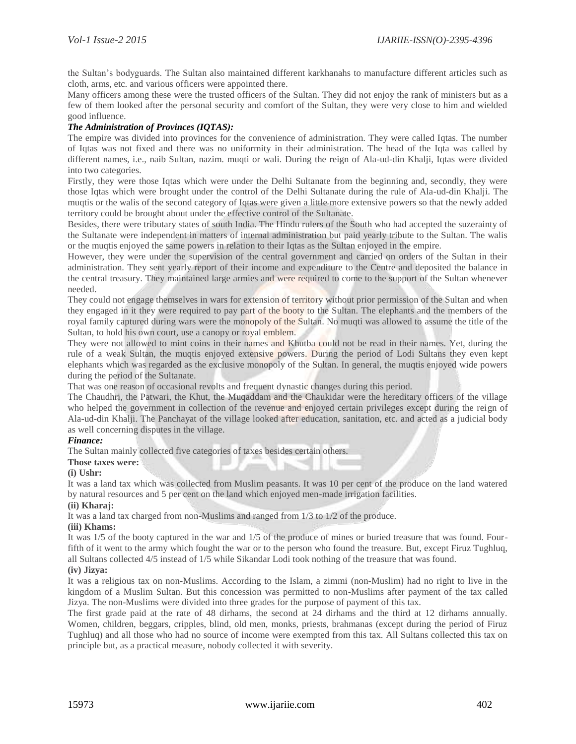the Sultan's bodyguards. The Sultan also maintained different karkhanahs to manufacture different articles such as cloth, arms, etc. and various officers were appointed there.

Many officers among these were the trusted officers of the Sultan. They did not enjoy the rank of ministers but as a few of them looked after the personal security and comfort of the Sultan, they were very close to him and wielded good influence.

# *The Administration of Provinces (IQTAS):*

The empire was divided into provinces for the convenience of administration. They were called Iqtas. The number of Iqtas was not fixed and there was no uniformity in their administration. The head of the Iqta was called by different names, i.e., naib Sultan, nazim. muqti or wali. During the reign of Ala-ud-din Khalji, Iqtas were divided into two categories.

Firstly, they were those Iqtas which were under the Delhi Sultanate from the beginning and, secondly, they were those Iqtas which were brought under the control of the Delhi Sultanate during the rule of Ala-ud-din Khalji. The muqtis or the walis of the second category of Iqtas were given a little more extensive powers so that the newly added territory could be brought about under the effective control of the Sultanate.

Besides, there were tributary states of south India. The Hindu rulers of the South who had accepted the suzerainty of the Sultanate were independent in matters of internal administration but paid yearly tribute to the Sultan. The walis or the muqtis enjoyed the same powers in relation to their Iqtas as the Sultan enjoyed in the empire.

However, they were under the supervision of the central government and carried on orders of the Sultan in their administration. They sent yearly report of their income and expenditure to the Centre and deposited the balance in the central treasury. They maintained large armies and were required to come to the support of the Sultan whenever needed.

They could not engage themselves in wars for extension of territory without prior permission of the Sultan and when they engaged in it they were required to pay part of the booty to the Sultan. The elephants and the members of the royal family captured during wars were the monopoly of the Sultan. No muqti was allowed to assume the title of the Sultan, to hold his own court, use a canopy or royal emblem.

They were not allowed to mint coins in their names and Khutba could not be read in their names. Yet, during the rule of a weak Sultan, the muqtis enjoyed extensive powers. During the period of Lodi Sultans they even kept elephants which was regarded as the exclusive monopoly of the Sultan. In general, the muqtis enjoyed wide powers during the period of the Sultanate.

That was one reason of occasional revolts and frequent dynastic changes during this period.

The Chaudhri, the Patwari, the Khut, the Muqaddam and the Chaukidar were the hereditary officers of the village who helped the government in collection of the revenue and enjoyed certain privileges except during the reign of Ala-ud-din Khalji. The Panchayat of the village looked after education, sanitation, etc. and acted as a judicial body as well concerning disputes in the village.

## *Finance:*

The Sultan mainly collected five categories of taxes besides certain others.

## **Those taxes were:**

#### **(i) Ushr:**

It was a land tax which was collected from Muslim peasants. It was 10 per cent of the produce on the land watered by natural resources and 5 per cent on the land which enjoyed men-made irrigation facilities.

## **(ii) Kharaj:**

It was a land tax charged from non-Muslims and ranged from 1/3 to 1/2 of the produce.

#### **(iii) Khams:**

It was 1/5 of the booty captured in the war and 1/5 of the produce of mines or buried treasure that was found. Fourfifth of it went to the army which fought the war or to the person who found the treasure. But, except Firuz Tughluq, all Sultans collected 4/5 instead of 1/5 while Sikandar Lodi took nothing of the treasure that was found.

#### **(iv) Jizya:**

It was a religious tax on non-Muslims. According to the Islam, a zimmi (non-Muslim) had no right to live in the kingdom of a Muslim Sultan. But this concession was permitted to non-Muslims after payment of the tax called Jizya. The non-Muslims were divided into three grades for the purpose of payment of this tax.

The first grade paid at the rate of 48 dirhams, the second at 24 dirhams and the third at 12 dirhams annually. Women, children, beggars, cripples, blind, old men, monks, priests, brahmanas (except during the period of Firuz Tughluq) and all those who had no source of income were exempted from this tax. All Sultans collected this tax on principle but, as a practical measure, nobody collected it with severity.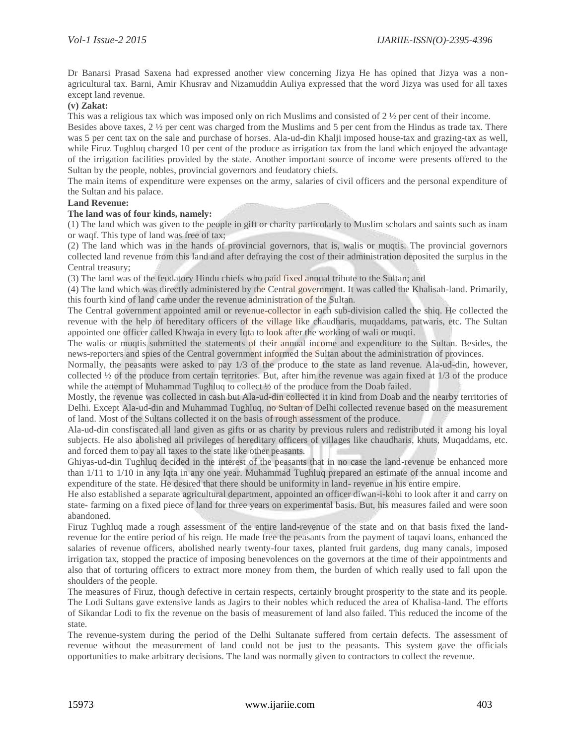Dr Banarsi Prasad Saxena had expressed another view concerning Jizya He has opined that Jizya was a nonagricultural tax. Barni, Amir Khusrav and Nizamuddin Auliya expressed that the word Jizya was used for all taxes except land revenue.

## **(v) Zakat:**

This was a religious tax which was imposed only on rich Muslims and consisted of 2 ½ per cent of their income.

Besides above taxes, 2 ½ per cent was charged from the Muslims and 5 per cent from the Hindus as trade tax. There was 5 per cent tax on the sale and purchase of horses. Ala-ud-din Khalji imposed house-tax and grazing-tax as well, while Firuz Tughluq charged 10 per cent of the produce as irrigation tax from the land which enjoyed the advantage of the irrigation facilities provided by the state. Another important source of income were presents offered to the Sultan by the people, nobles, provincial governors and feudatory chiefs.

The main items of expenditure were expenses on the army, salaries of civil officers and the personal expenditure of the Sultan and his palace.

## **Land Revenue:**

#### **The land was of four kinds, namely:**

(1) The land which was given to the people in gift or charity particularly to Muslim scholars and saints such as inam or waqf. This type of land was free of tax;

(2) The land which was in the hands of provincial governors, that is, walis or muqtis. The provincial governors collected land revenue from this land and after defraying the cost of their administration deposited the surplus in the Central treasury;

(3) The land was of the feudatory Hindu chiefs who paid fixed annual tribute to the Sultan; and

(4) The land which was directly administered by the Central government. It was called the Khalisah-land. Primarily, this fourth kind of land came under the revenue administration of the Sultan.

The Central government appointed amil or revenue-collector in each sub-division called the shiq. He collected the revenue with the help of hereditary officers of the village like chaudharis, muqaddams, patwaris, etc. The Sultan appointed one officer called Khwaja in every Iqta to look after the working of wali or muqti.

The walis or muqtis submitted the statements of their annual income and expenditure to the Sultan. Besides, the news-reporters and spies of the Central government informed the Sultan about the administration of provinces.

Normally, the peasants were asked to pay 1/3 of the produce to the state as land revenue. Ala-ud-din, however, collected ½ of the produce from certain territories. But, after him the revenue was again fixed at 1/3 of the produce while the attempt of Muhammad Tughluq to collect ½ of the produce from the Doab failed.

Mostly, the revenue was collected in cash but Ala-ud-din collected it in kind from Doab and the nearby territories of Delhi. Except Ala-ud-din and Muhammad Tughluq, no Sultan of Delhi collected revenue based on the measurement of land. Most of the Sultans collected it on the basis of rough assessment of the produce.

Ala-ud-din consfiscated all land given as gifts or as charity by previous rulers and redistributed it among his loyal subjects. He also abolished all privileges of hereditary officers of villages like chaudharis, khuts, Muqaddams, etc. and forced them to pay all taxes to the state like other peasants.

Ghiyas-ud-din Tughluq decided in the interest of the peasants that in no case the land-revenue be enhanced more than 1/11 to 1/10 in any Iqta in any one year. Muhammad Tughluq prepared an estimate of the annual income and expenditure of the state. He desired that there should be uniformity in land- revenue in his entire empire.

He also established a separate agricultural department, appointed an officer diwan-i-kohi to look after it and carry on state- farming on a fixed piece of land for three years on experimental basis. But, his measures failed and were soon abandoned.

Firuz Tughluq made a rough assessment of the entire land-revenue of the state and on that basis fixed the landrevenue for the entire period of his reign. He made free the peasants from the payment of taqavi loans, enhanced the salaries of revenue officers, abolished nearly twenty-four taxes, planted fruit gardens, dug many canals, imposed irrigation tax, stopped the practice of imposing benevolences on the governors at the time of their appointments and also that of torturing officers to extract more money from them, the burden of which really used to fall upon the shoulders of the people.

The measures of Firuz, though defective in certain respects, certainly brought prosperity to the state and its people. The Lodi Sultans gave extensive lands as Jagirs to their nobles which reduced the area of Khalisa-land. The efforts of Sikandar Lodi to fix the revenue on the basis of measurement of land also failed. This reduced the income of the state.

The revenue-system during the period of the Delhi Sultanate suffered from certain defects. The assessment of revenue without the measurement of land could not be just to the peasants. This system gave the officials opportunities to make arbitrary decisions. The land was normally given to contractors to collect the revenue.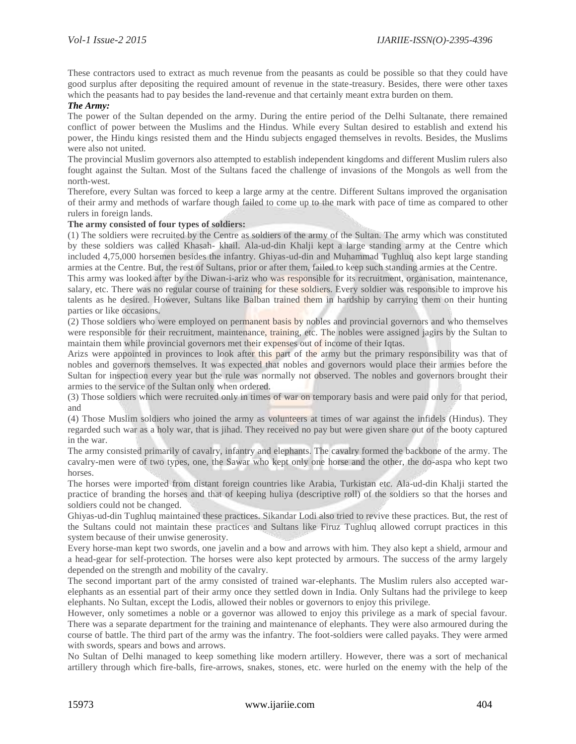These contractors used to extract as much revenue from the peasants as could be possible so that they could have good surplus after depositing the required amount of revenue in the state-treasury. Besides, there were other taxes which the peasants had to pay besides the land-revenue and that certainly meant extra burden on them.

## *The Army:*

The power of the Sultan depended on the army. During the entire period of the Delhi Sultanate, there remained conflict of power between the Muslims and the Hindus. While every Sultan desired to establish and extend his power, the Hindu kings resisted them and the Hindu subjects engaged themselves in revolts. Besides, the Muslims were also not united.

The provincial Muslim governors also attempted to establish independent kingdoms and different Muslim rulers also fought against the Sultan. Most of the Sultans faced the challenge of invasions of the Mongols as well from the north-west.

Therefore, every Sultan was forced to keep a large army at the centre. Different Sultans improved the organisation of their army and methods of warfare though failed to come up to the mark with pace of time as compared to other rulers in foreign lands.

#### **The army consisted of four types of soldiers:**

(1) The soldiers were recruited by the Centre as soldiers of the army of the Sultan. The army which was constituted by these soldiers was called Khasah- khail. Ala-ud-din Khalji kept a large standing army at the Centre which included 4,75,000 horsemen besides the infantry. Ghiyas-ud-din and Muhammad Tughluq also kept large standing armies at the Centre. But, the rest of Sultans, prior or after them, failed to keep such standing armies at the Centre.

This army was looked after by the Diwan-i-ariz who was responsible for its recruitment, organisation, maintenance, salary, etc. There was no regular course of training for these soldiers. Every soldier was responsible to improve his talents as he desired. However, Sultans like Balban trained them in hardship by carrying them on their hunting parties or like occasions.

(2) Those soldiers who were employed on permanent basis by nobles and provincial governors and who themselves were responsible for their recruitment, maintenance, training, etc. The nobles were assigned jagirs by the Sultan to maintain them while provincial governors met their expenses out of income of their Iqtas.

Arizs were appointed in provinces to look after this part of the army but the primary responsibility was that of nobles and governors themselves. It was expected that nobles and governors would place their armies before the Sultan for inspection every year but the rule was normally not observed. The nobles and governors brought their armies to the service of the Sultan only when ordered.

(3) Those soldiers which were recruited only in times of war on temporary basis and were paid only for that period, and

(4) Those Muslim soldiers who joined the army as volunteers at times of war against the infidels (Hindus). They regarded such war as a holy war, that is jihad. They received no pay but were given share out of the booty captured in the war.

The army consisted primarily of cavalry, infantry and elephants. The cavalry formed the backbone of the army. The cavalry-men were of two types, one, the Sawar who kept only one horse and the other, the do-aspa who kept two horses.

The horses were imported from distant foreign countries like Arabia, Turkistan etc. Ala-ud-din Khalji started the practice of branding the horses and that of keeping huliya (descriptive roll) of the soldiers so that the horses and soldiers could not be changed.

Ghiyas-ud-din Tughluq maintained these practices. Sikandar Lodi also tried to revive these practices. But, the rest of the Sultans could not maintain these practices and Sultans like Firuz Tughluq allowed corrupt practices in this system because of their unwise generosity.

Every horse-man kept two swords, one javelin and a bow and arrows with him. They also kept a shield, armour and a head-gear for self-protection. The horses were also kept protected by armours. The success of the army largely depended on the strength and mobility of the cavalry.

The second important part of the army consisted of trained war-elephants. The Muslim rulers also accepted warelephants as an essential part of their army once they settled down in India. Only Sultans had the privilege to keep elephants. No Sultan, except the Lodis, allowed their nobles or governors to enjoy this privilege.

However, only sometimes a noble or a governor was allowed to enjoy this privilege as a mark of special favour. There was a separate department for the training and maintenance of elephants. They were also armoured during the course of battle. The third part of the army was the infantry. The foot-soldiers were called payaks. They were armed with swords, spears and bows and arrows.

No Sultan of Delhi managed to keep something like modern artillery. However, there was a sort of mechanical artillery through which fire-balls, fire-arrows, snakes, stones, etc. were hurled on the enemy with the help of the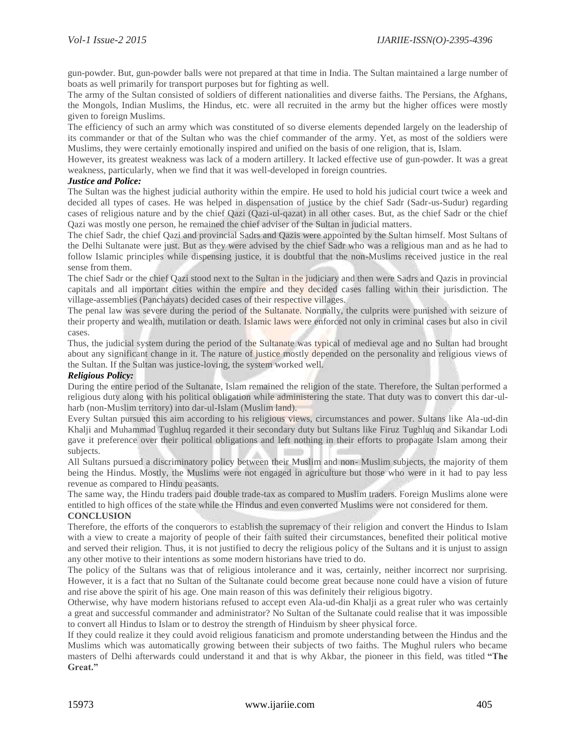gun-powder. But, gun-powder balls were not prepared at that time in India. The Sultan maintained a large number of boats as well primarily for transport purposes but for fighting as well.

The army of the Sultan consisted of soldiers of different nationalities and diverse faiths. The Persians, the Afghans, the Mongols, Indian Muslims, the Hindus, etc. were all recruited in the army but the higher offices were mostly given to foreign Muslims.

The efficiency of such an army which was constituted of so diverse elements depended largely on the leadership of its commander or that of the Sultan who was the chief commander of the army. Yet, as most of the soldiers were Muslims, they were certainly emotionally inspired and unified on the basis of one religion, that is, Islam.

However, its greatest weakness was lack of a modern artillery. It lacked effective use of gun-powder. It was a great weakness, particularly, when we find that it was well-developed in foreign countries.

## *Justice and Police:*

The Sultan was the highest judicial authority within the empire. He used to hold his judicial court twice a week and decided all types of cases. He was helped in dispensation of justice by the chief Sadr (Sadr-us-Sudur) regarding cases of religious nature and by the chief Qazi (Qazi-ul-qazat) in all other cases. But, as the chief Sadr or the chief Qazi was mostly one person, he remained the chief adviser of the Sultan in judicial matters.

The chief Sadr, the chief Qazi and provincial Sadrs and Qazis were appointed by the Sultan himself. Most Sultans of the Delhi Sultanate were just. But as they were advised by the chief Sadr who was a religious man and as he had to follow Islamic principles while dispensing justice, it is doubtful that the non-Muslims received justice in the real sense from them.

The chief Sadr or the chief Qazi stood next to the Sultan in the judiciary and then were Sadrs and Qazis in provincial capitals and all important cities within the empire and they decided cases falling within their jurisdiction. The village-assemblies (Panchayats) decided cases of their respective villages.

The penal law was severe during the period of the Sultanate. Normally, the culprits were punished with seizure of their property and wealth, mutilation or death. Islamic laws were enforced not only in criminal cases but also in civil cases.

Thus, the judicial system during the period of the Sultanate was typical of medieval age and no Sultan had brought about any significant change in it. The nature of justice mostly depended on the personality and religious views of the Sultan. If the Sultan was justice-loving, the system worked well.

## *Religious Policy:*

During the entire period of the Sultanate, Islam remained the religion of the state. Therefore, the Sultan performed a religious duty along with his political obligation while administering the state. That duty was to convert this dar-ulharb (non-Muslim territory) into dar-ul-Islam (Muslim land).

Every Sultan pursued this aim according to his religious views, circumstances and power. Sultans like Ala-ud-din Khalji and Muhammad Tughluq regarded it their secondary duty but Sultans like Firuz Tughluq and Sikandar Lodi gave it preference over their political obligations and left nothing in their efforts to propagate Islam among their subjects.

All Sultans pursued a discriminatory policy between their Muslim and non- Muslim subjects, the majority of them being the Hindus. Mostly, the Muslims were not engaged in agriculture but those who were in it had to pay less revenue as compared to Hindu peasants.

The same way, the Hindu traders paid double trade-tax as compared to Muslim traders. Foreign Muslims alone were entitled to high offices of the state while the Hindus and even converted Muslims were not considered for them.

## **CONCLUSION**

Therefore, the efforts of the conquerors to establish the supremacy of their religion and convert the Hindus to Islam with a view to create a majority of people of their faith suited their circumstances, benefited their political motive and served their religion. Thus, it is not justified to decry the religious policy of the Sultans and it is unjust to assign any other motive to their intentions as some modern historians have tried to do.

The policy of the Sultans was that of religious intolerance and it was, certainly, neither incorrect nor surprising. However, it is a fact that no Sultan of the Sultanate could become great because none could have a vision of future and rise above the spirit of his age. One main reason of this was definitely their religious bigotry.

Otherwise, why have modern historians refused to accept even Ala-ud-din Khalji as a great ruler who was certainly a great and successful commander and administrator? No Sultan of the Sultanate could realise that it was impossible to convert all Hindus to Islam or to destroy the strength of Hinduism by sheer physical force.

If they could realize it they could avoid religious fanaticism and promote understanding between the Hindus and the Muslims which was automatically growing between their subjects of two faiths. The Mughul rulers who became masters of Delhi afterwards could understand it and that is why Akbar, the pioneer in this field, was titled **"The Great."**